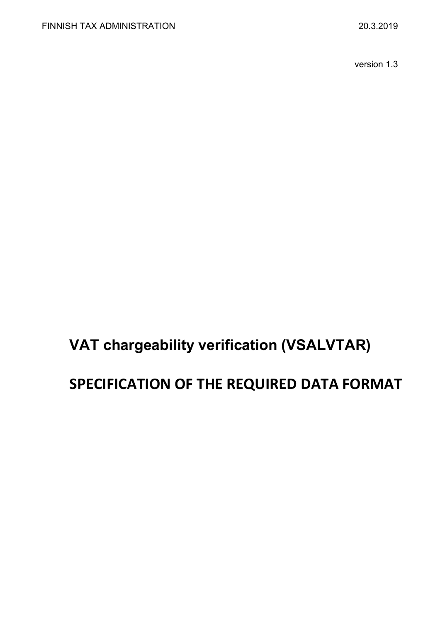version 1.3

# **VAT chargeability verification (VSALVTAR)**

## **SPECIFICATION OF THE REQUIRED DATA FORMAT**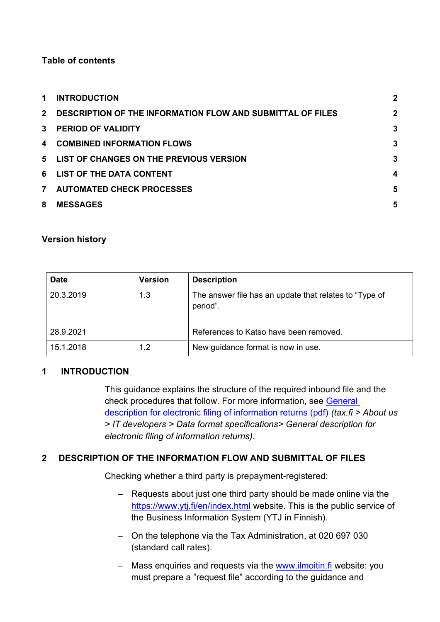#### **Table of contents**

| $\mathbf 1$             | <b>INTRODUCTION</b>                                               | $\mathbf 2$    |
|-------------------------|-------------------------------------------------------------------|----------------|
| $2^{\circ}$             | <b>DESCRIPTION OF THE INFORMATION FLOW AND SUBMITTAL OF FILES</b> | $\mathbf 2$    |
| $\mathbf{3}$            | <b>PERIOD OF VALIDITY</b>                                         | $\overline{3}$ |
| $\overline{\mathbf{4}}$ | <b>COMBINED INFORMATION FLOWS</b>                                 | 3              |
| 5                       | LIST OF CHANGES ON THE PREVIOUS VERSION                           | $\overline{3}$ |
| 6                       | LIST OF THE DATA CONTENT                                          | 4              |
| $\overline{7}$          | <b>AUTOMATED CHECK PROCESSES</b>                                  | 5              |
| 8                       | <b>MESSAGES</b>                                                   | 5              |

#### **Version history**

| <b>Date</b> | <b>Version</b> | <b>Description</b>                                                 |
|-------------|----------------|--------------------------------------------------------------------|
| 20.3.2019   | 1.3            | The answer file has an update that relates to "Type of<br>period". |
| 28.9.2021   |                | References to Katso have been removed.                             |
| 15.1.2018   | 1.2            | New guidance format is now in use.                                 |

#### <span id="page-1-0"></span>**1 INTRODUCTION**

This guidance explains the structure of the required inbound file and the check procedures that follow. For more information, see [General](https://www.vero.fi/globalassets/tietoa-verohallinnosta/ohjelmistokehittajille/finnish-tax-administration_electronic-filing-of-information-returns-general-description.pdf)  [description for electronic filing of information returns \(pdf\)](https://www.vero.fi/globalassets/tietoa-verohallinnosta/ohjelmistokehittajille/finnish-tax-administration_electronic-filing-of-information-returns-general-description.pdf) *(tax.fi > About us > IT developers > Data format specifications> General description for electronic filing of information returns)*.

#### <span id="page-1-1"></span>**2 DESCRIPTION OF THE INFORMATION FLOW AND SUBMITTAL OF FILES**

Checking whether a third party is prepayment-registered:

- − Requests about just one third party should be made online via the <https://www.ytj.fi/en/index.html> website. This is the public service of the Business Information System (YTJ in Finnish).
- − On the telephone via the Tax Administration, at 020 697 030 (standard call rates).
- − Mass enquiries and requests via the [www.ilmoitin.fi](https://www.ilmoitin.fi/webtamo/sivut/Esittelysivu?kieli=en) website: you must prepare a "request file" according to the guidance and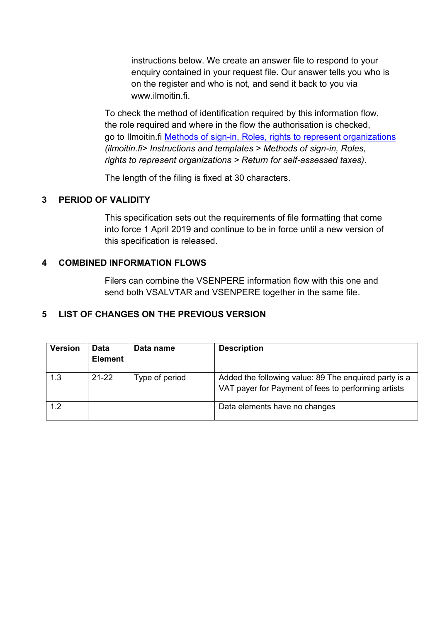instructions below. We create an answer file to respond to your enquiry contained in your request file. Our answer tells you who is on the register and who is not, and send it back to you via www.jlmoitin.fi

To check the method of identification required by this information flow, the role required and where in the flow the authorisation is checked, go to Ilmoitin.fi [Methods of sign-in, Roles, rights to represent organizations](https://www.ilmoitin.fi/webtamo/sivut/IlmoituslajiRoolit?kieli=en&tv=VSALVTAR) *(ilmoitin.fi> Instructions and templates > Methods of sign-in, Roles, rights to represent organizations > Return for self-assessed taxes)*.

The length of the filing is fixed at 30 characters.

### <span id="page-2-0"></span>**3 PERIOD OF VALIDITY**

This specification sets out the requirements of file formatting that come into force 1 April 2019 and continue to be in force until a new version of this specification is released.

#### <span id="page-2-1"></span>**4 COMBINED INFORMATION FLOWS**

Filers can combine the VSENPERE information flow with this one and send both VSALVTAR and VSENPERE together in the same file.

## <span id="page-2-2"></span>**5 LIST OF CHANGES ON THE PREVIOUS VERSION**

| <b>Version</b> | <b>Data</b><br><b>Element</b> | Data name      | <b>Description</b>                                                                                           |
|----------------|-------------------------------|----------------|--------------------------------------------------------------------------------------------------------------|
| 1.3            | $21 - 22$                     | Type of period | Added the following value: 89 The enquired party is a<br>VAT payer for Payment of fees to performing artists |
| 1.2            |                               |                | Data elements have no changes                                                                                |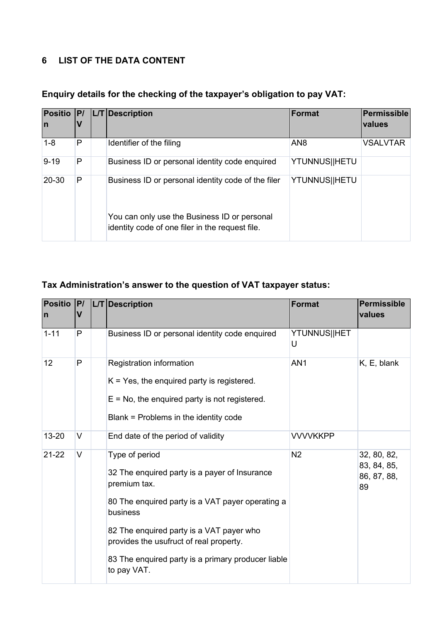## <span id="page-3-0"></span>**6 LIST OF THE DATA CONTENT**

| In       |   | Positio   P/   L/T   Description                                                                | <b>Format</b>   | Permissible<br><b>values</b> |
|----------|---|-------------------------------------------------------------------------------------------------|-----------------|------------------------------|
| $1 - 8$  | P | Identifier of the filing                                                                        | AN <sub>8</sub> | <b>VSALVTAR</b>              |
| $9 - 19$ | P | Business ID or personal identity code enquired                                                  | YTUNNUS  HETU   |                              |
| 20-30    | P | Business ID or personal identity code of the filer                                              | YTUNNUS  HETU   |                              |
|          |   | You can only use the Business ID or personal<br>identity code of one filer in the request file. |                 |                              |

## **Enquiry details for the checking of the taxpayer's obligation to pay VAT:**

## **Tax Administration's answer to the question of VAT taxpayer status:**

| <b>Positio</b><br>$\mathsf{I}$ | P <br>$\mathsf{V}$ | L/T Description                                                                                                                                                                                                                                                                                             | <b>Format</b>     | <b>Permissible</b><br>values                    |
|--------------------------------|--------------------|-------------------------------------------------------------------------------------------------------------------------------------------------------------------------------------------------------------------------------------------------------------------------------------------------------------|-------------------|-------------------------------------------------|
| $1 - 11$                       | P                  | Business ID or personal identity code enquired                                                                                                                                                                                                                                                              | YTUNNUS  HET<br>U |                                                 |
| 12                             | P                  | Registration information<br>$K = Yes$ , the enquired party is registered.<br>$E = No$ , the enquired party is not registered.<br>Blank = Problems in the identity code                                                                                                                                      | AN <sub>1</sub>   | K, E, blank                                     |
| 13-20                          | V                  | End date of the period of validity                                                                                                                                                                                                                                                                          | <b>VVVVKKPP</b>   |                                                 |
| $21 - 22$                      | V                  | Type of period<br>32 The enquired party is a payer of Insurance<br>premium tax.<br>80 The enquired party is a VAT payer operating a<br>business<br>82 The enquired party is a VAT payer who<br>provides the usufruct of real property.<br>83 The enquired party is a primary producer liable<br>to pay VAT. | N <sub>2</sub>    | 32, 80, 82,<br>83, 84, 85,<br>86, 87, 88,<br>89 |